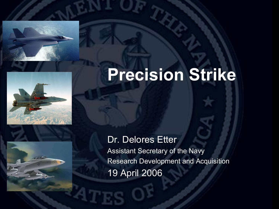



#### Dr. Delores Etter Assistant Secretary of the Navy Research Development and Acquisition 19 April 2006

## **Precision Strike**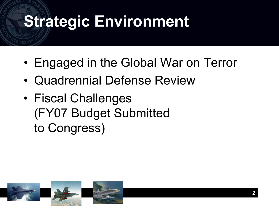## **Strategic Environment**

- Engaged in the Global War on Terror
- Quadrennial Defense Review
- Fiscal Challenges (FY07 Budget Submitted to Congress)

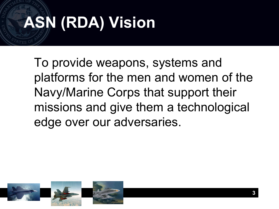# **ASN (RDA) Vision**

To provide weapons, systems and platforms for the men and women of the Navy/Marine Corps that support their missions and give them a technological edge over our adversaries.

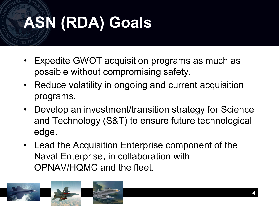# **ASN (RDA) Goals**

- Expedite GWOT acquisition programs as much as possible without compromising safety.
- Reduce volatility in ongoing and current acquisition programs.
- Develop an investment/transition strategy for Science and Technology (S&T) to ensure future technological edge.
- Lead the Acquisition Enterprise component of the Naval Enterprise, in collaboration with OPNAV/HQMC and the fleet.

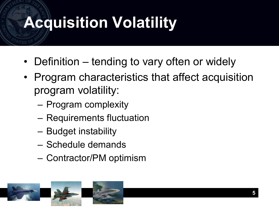# **Acquisition Volatility**

- Definition tending to vary often or widely
- Program characteristics that affect acquisition program volatility:
	- Program complexity
	- Requirements fluctuation
	- Budget instability
	- Schedule demands
	- Contractor/PM optimism

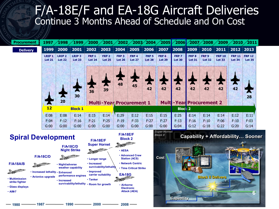### F/A-18E/F and EA-18G Aircraft Deliveries Continue 3 Months Ahead of Schedule and On Cost